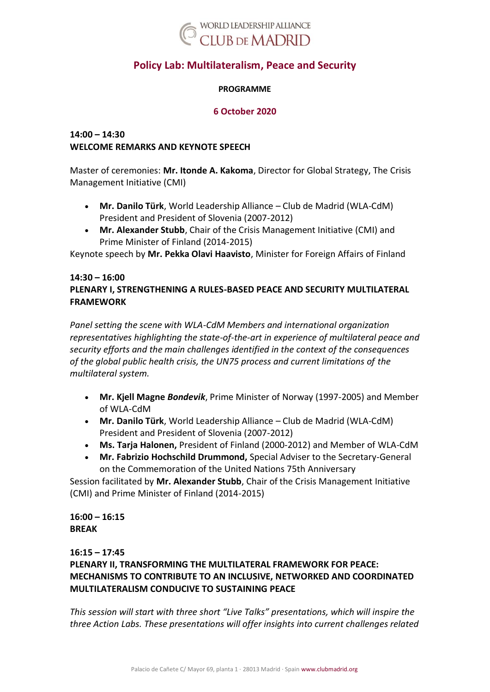

# **Policy Lab: Multilateralism, Peace and Security**

#### **PROGRAMME**

#### **6 October 2020**

## **14:00 – 14:30 WELCOME REMARKS AND KEYNOTE SPEECH**

Master of ceremonies: **Mr. Itonde A. Kakoma**, Director for Global Strategy, The Crisis Management Initiative (CMI)

- **Mr. Danilo Türk**, World Leadership Alliance Club de Madrid (WLA-CdM) President and President of Slovenia (2007-2012)
- **Mr. Alexander Stubb**, Chair of the Crisis Management Initiative (CMI) and Prime Minister of Finland (2014-2015)

Keynote speech by **Mr. Pekka Olavi Haavisto**, Minister for Foreign Affairs of Finland

### **14:30 – 16:00 PLENARY I, STRENGTHENING A RULES-BASED PEACE AND SECURITY MULTILATERAL FRAMEWORK**

*Panel setting the scene with WLA-CdM Members and international organization representatives highlighting the state-of-the-art in experience of multilateral peace and security efforts and the main challenges identified in the context of the consequences of the global public health crisis, the UN75 process and current limitations of the multilateral system.*

- **Mr. Kjell Magne** *Bondevik*, Prime Minister of Norway (1997-2005) and Member of WLA-CdM
- **Mr. Danilo Türk**, World Leadership Alliance Club de Madrid (WLA-CdM) President and President of Slovenia (2007-2012)
- **Ms. Tarja Halonen,** President of Finland (2000-2012) and Member of WLA-CdM
- **Mr. Fabrizio Hochschild Drummond,** Special Adviser to the Secretary-General on the Commemoration of the United Nations 75th Anniversary

Session facilitated by **Mr. Alexander Stubb**, Chair of the Crisis Management Initiative (CMI) and Prime Minister of Finland (2014-2015)

## **16:00 – 16:15 BREAK**

## **16:15 – 17:45**

**PLENARY II, TRANSFORMING THE MULTILATERAL FRAMEWORK FOR PEACE: MECHANISMS TO CONTRIBUTE TO AN INCLUSIVE, NETWORKED AND COORDINATED MULTILATERALISM CONDUCIVE TO SUSTAINING PEACE**

*This session will start with three short "Live Talks" presentations, which will inspire the three Action Labs. These presentations will offer insights into current challenges related*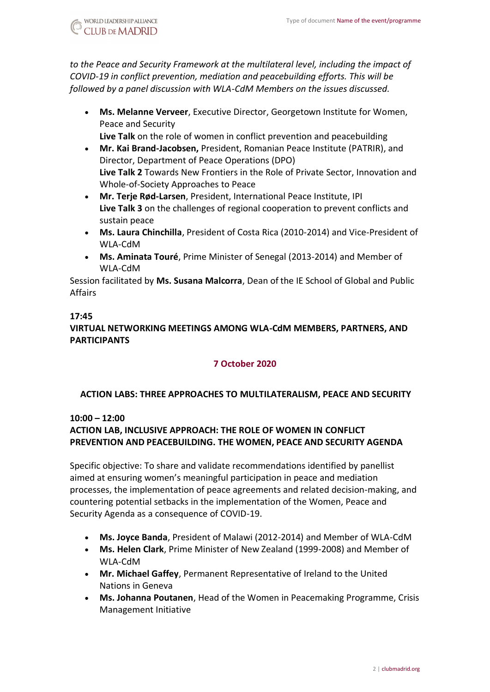*to the Peace and Security Framework at the multilateral level, including the impact of COVID-19 in conflict prevention, mediation and peacebuilding efforts. This will be followed by a panel discussion with WLA-CdM Members on the issues discussed.*

- **Ms. Melanne Verveer**, Executive Director, Georgetown Institute for Women, Peace and Security
	- **Live Talk** on the role of women in conflict prevention and peacebuilding
- **Mr. Kai Brand-Jacobsen,** President, Romanian Peace Institute (PATRIR), and Director, Department of Peace Operations (DPO) **Live Talk 2** Towards New Frontiers in the Role of Private Sector, Innovation and Whole-of-Society Approaches to Peace
- **Mr. Terje Rød-Larsen**, President, International Peace Institute, IPI **Live Talk 3** on the challenges of regional cooperation to prevent conflicts and sustain peace
- **Ms. Laura Chinchilla**, President of Costa Rica (2010-2014) and Vice-President of WLA-CdM
- **Ms. Aminata Touré**, Prime Minister of Senegal (2013-2014) and Member of WLA-CdM

Session facilitated by **Ms. Susana Malcorra**, Dean of the IE School of Global and Public Affairs

## **17:45**

# **VIRTUAL NETWORKING MEETINGS AMONG WLA-CdM MEMBERS, PARTNERS, AND PARTICIPANTS**

## **7 October 2020**

## **ACTION LABS: THREE APPROACHES TO MULTILATERALISM, PEACE AND SECURITY**

#### **10:00 – 12:00**

## **ACTION LAB, INCLUSIVE APPROACH: THE ROLE OF WOMEN IN CONFLICT PREVENTION AND PEACEBUILDING. THE WOMEN, PEACE AND SECURITY AGENDA**

Specific objective: To share and validate recommendations identified by panellist aimed at ensuring women's meaningful participation in peace and mediation processes, the implementation of peace agreements and related decision-making, and countering potential setbacks in the implementation of the Women, Peace and Security Agenda as a consequence of COVID-19.

- **Ms. Joyce Banda**, President of Malawi (2012-2014) and Member of WLA-CdM
- **Ms. Helen Clark**, Prime Minister of New Zealand (1999-2008) and Member of WLA-CdM
- **Mr. Michael Gaffey**, Permanent Representative of Ireland to the United Nations in Geneva
- **Ms. Johanna Poutanen**, Head of the Women in Peacemaking Programme, Crisis Management Initiative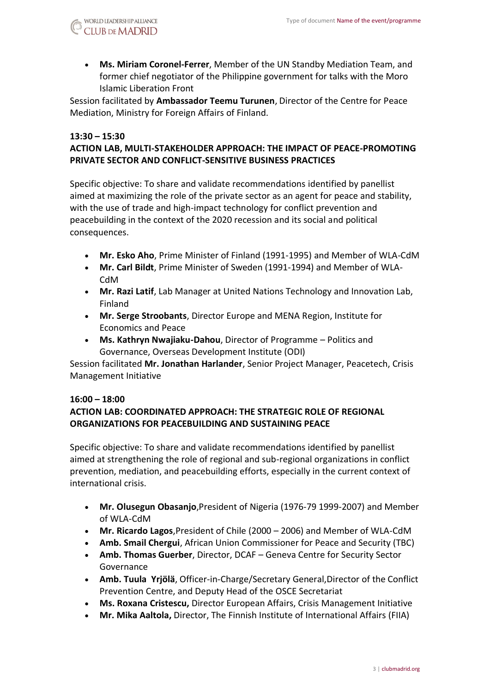• **Ms. Miriam Coronel-Ferrer**, Member of the UN Standby Mediation Team, and former chief negotiator of the Philippine government for talks with the Moro Islamic Liberation Front

Session facilitated by **Ambassador Teemu Turunen**, Director of the Centre for Peace Mediation, Ministry for Foreign Affairs of Finland.

#### **13:30 – 15:30 ACTION LAB, MULTI-STAKEHOLDER APPROACH: THE IMPACT OF PEACE-PROMOTING PRIVATE SECTOR AND CONFLICT-SENSITIVE BUSINESS PRACTICES**

Specific objective: To share and validate recommendations identified by panellist aimed at maximizing the role of the private sector as an agent for peace and stability, with the use of trade and high-impact technology for conflict prevention and peacebuilding in the context of the 2020 recession and its social and political consequences.

- **Mr. Esko Aho**, Prime Minister of Finland (1991-1995) and Member of WLA-CdM
- **Mr. Carl Bildt**, Prime Minister of Sweden (1991-1994) and Member of WLA-CdM
- **Mr. Razi Latif**, Lab Manager at United Nations Technology and Innovation Lab, Finland
- **Mr. Serge Stroobants**, Director Europe and MENA Region, Institute for Economics and Peace
- **Ms. Kathryn Nwajiaku-Dahou**, Director of Programme Politics and Governance, Overseas Development Institute (ODI)

Session facilitated **Mr. Jonathan Harlander**, Senior Project Manager, Peacetech, Crisis Management Initiative

#### **16:00 – 18:00**

## **ACTION LAB: COORDINATED APPROACH: THE STRATEGIC ROLE OF REGIONAL ORGANIZATIONS FOR PEACEBUILDING AND SUSTAINING PEACE**

Specific objective: To share and validate recommendations identified by panellist aimed at strengthening the role of regional and sub-regional organizations in conflict prevention, mediation, and peacebuilding efforts, especially in the current context of international crisis.

- **Mr. Olusegun Obasanjo**,President of Nigeria (1976-79 1999-2007) and Member of WLA-CdM
- **Mr. Ricardo Lagos**,President of Chile (2000 2006) and Member of WLA-CdM
- **Amb. Smail Chergui**, African Union Commissioner for Peace and Security (TBC)
- **Amb. Thomas Guerber**, Director, DCAF Geneva Centre for Security Sector Governance
- **Amb. Tuula Yrjölä**, Officer-in-Charge/Secretary General,Director of the Conflict Prevention Centre, and Deputy Head of the OSCE Secretariat
- **Ms. Roxana Cristescu,** Director European Affairs, Crisis Management Initiative
- **Mr. Mika Aaltola,** Director, The Finnish Institute of International Affairs (FIIA)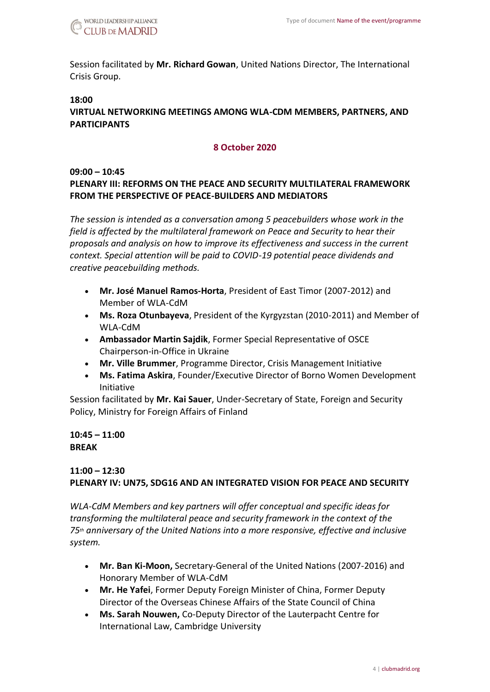

Session facilitated by **Mr. Richard Gowan**, United Nations Director, The International Crisis Group.

#### **18:00**

## **VIRTUAL NETWORKING MEETINGS AMONG WLA-CDM MEMBERS, PARTNERS, AND PARTICIPANTS**

#### **8 October 2020**

#### **09:00 – 10:45**

## **PLENARY III: REFORMS ON THE PEACE AND SECURITY MULTILATERAL FRAMEWORK FROM THE PERSPECTIVE OF PEACE-BUILDERS AND MEDIATORS**

*The session is intended as a conversation among 5 peacebuilders whose work in the field is affected by the multilateral framework on Peace and Security to hear their proposals and analysis on how to improve its effectiveness and success in the current context. Special attention will be paid to COVID-19 potential peace dividends and creative peacebuilding methods.*

- **Mr. José Manuel Ramos-Horta**, President of East Timor (2007-2012) and Member of WLA-CdM
- **Ms. Roza Otunbayeva**, President of the Kyrgyzstan (2010-2011) and Member of WLA-CdM
- **Ambassador Martin Sajdik**, Former Special Representative of OSCE Chairperson-in-Office in Ukraine
- **Mr. Ville Brummer**, Programme Director, Crisis Management Initiative
- **Ms. Fatima Askira**, Founder/Executive Director of Borno Women Development Initiative

Session facilitated by **Mr. Kai Sauer**, Under-Secretary of State, Foreign and Security Policy, Ministry for Foreign Affairs of Finland

#### **10:45 – 11:00 BREAK**

## **11:00 – 12:30 PLENARY IV: UN75, SDG16 AND AN INTEGRATED VISION FOR PEACE AND SECURITY**

*WLA-CdM Members and key partners will offer conceptual and specific ideas for transforming the multilateral peace and security framework in the context of the 75th anniversary of the United Nations into a more responsive, effective and inclusive system.*

- **Mr. Ban Ki-Moon,** Secretary-General of the United Nations (2007-2016) and Honorary Member of WLA-CdM
- **Mr. He Yafei**, Former Deputy Foreign Minister of China, Former Deputy Director of the Overseas Chinese Affairs of the State Council of China
- **Ms. Sarah Nouwen,** Co-Deputy Director of the Lauterpacht Centre for International Law, Cambridge University